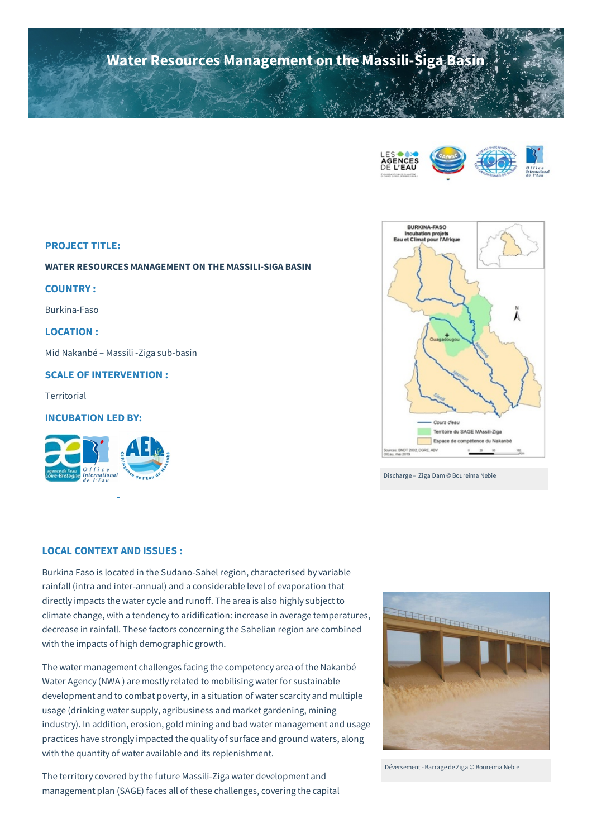# **Water Resources Management on the Massili-Siga Basin**





Discharge – Ziga Dam © Boureima Nebie

#### **PROJECT TITLE:**

**WATER RESOURCES MANAGEMENT ON THE MASSILI-SIGA BASIN**

# **COUNTRY :**

Burkina-Faso

# **LOCATION :**

Mid Nakanbé – Massili -Ziga sub-basin

# **SCALE OF INTERVENTION :**

**Territorial** 

# **INCUBATION LED BY:**



# **LOCAL CONTEXT AND ISSUES :**

Burkina Faso is located in the Sudano-Sahel region, characterised by variable rainfall (intra and inter-annual) and a considerable level of evaporation that directly impacts the water cycle and runoff. The area is also highly subject to climate change, with a tendency to aridification: increase in average temperatures, decrease in rainfall. These factors concerning the Sahelian region are combined with the impacts of high demographic growth.

The water management challenges facing the competency area of the Nakanbé Water Agency (NWA ) are mostly related to mobilising water for sustainable development and to combat poverty, in a situation of water scarcity and multiple usage (drinking water supply, agribusiness and market gardening, mining industry). In addition, erosion, gold mining and bad water management and usage practices have strongly impacted the quality of surface and ground waters, along with the quantity of water available and its replenishment.

The territory covered by the future Massili-Ziga water development and management plan (SAGE) faces all of these challenges, covering the capital



Déversement -Barrage de Ziga © Boureima Nebie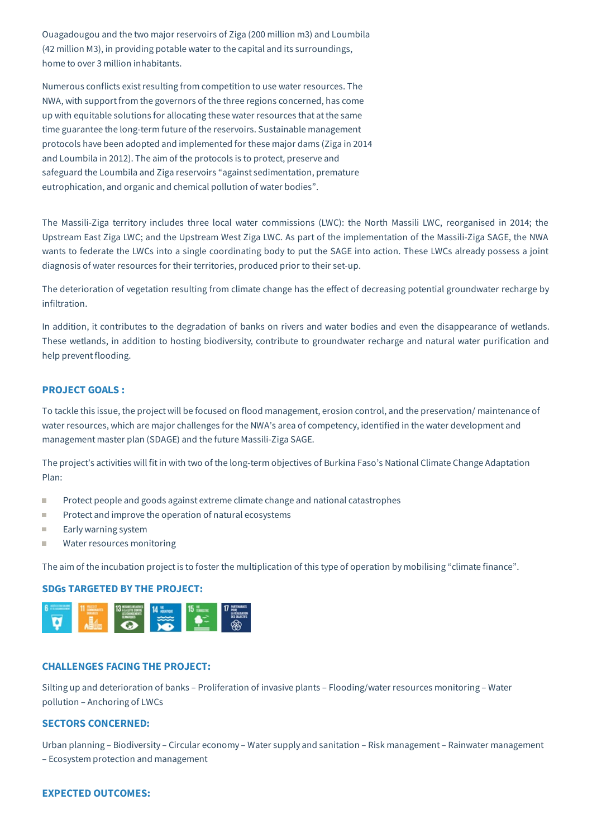Ouagadougou and the two major reservoirs of Ziga (200 million m3) and Loumbila (42 million M3), in providing potable water to the capital and its surroundings, home to over 3 million inhabitants.

Numerous conflicts exist resulting from competition to use water resources. The NWA, with support from the governors of the three regions concerned, has come up with equitable solutions for allocating these water resources that atthe same time guarantee the long-term future of the reservoirs. Sustainable management protocols have been adopted and implemented for these major dams (Ziga in 2014 and Loumbila in 2012). The aim of the protocols is to protect, preserve and safeguard the Loumbila and Ziga reservoirs "against sedimentation, premature eutrophication, and organic and chemical pollution of water bodies".

The Massili-Ziga territory includes three local water commissions (LWC): the North Massili LWC, reorganised in 2014; the Upstream East Ziga LWC; and the Upstream West Ziga LWC. As part of the implementation of the Massili-Ziga SAGE, the NWA wants to federate the LWCs into a single coordinating body to put the SAGE into action. These LWCs already possess a joint diagnosis of water resources for their territories, produced prior to their set-up.

The deterioration of vegetation resulting from climate change has the effect of decreasing potential groundwater recharge by infiltration.

In addition, it contributes to the degradation of banks on rivers and water bodies and even the disappearance of wetlands. These wetlands, in addition to hosting biodiversity, contribute to groundwater recharge and natural water purification and help prevent flooding.

# **PROJECT GOALS :**

To tackle this issue, the project will be focused on flood management, erosion control, and the preservation/ maintenance of water resources, which are major challenges for the NWA's area of competency, identified in the water development and management master plan (SDAGE) and the future Massili-Ziga SAGE.

The project's activities will fitin with two of the long-term objectives of Burkina Faso's National Climate Change Adaptation Plan:

- $\overline{\phantom{a}}$ Protect people and goods against extreme climate change and national catastrophes
- Protect and improve the operation of natural ecosystems T.
- H Early warning system
- Water resources monitoringm.

The aim of the incubation projectis to foster the multiplication of this type of operation by mobilising "climate finance".

#### **SDGs TARGETED BY THE PROJECT:**



#### **CHALLENGES FACING THE PROJECT:**

Silting up and deterioration of banks – Proliferation of invasive plants – Flooding/water resources monitoring – Water pollution – Anchoring of LWCs

# **SECTORS CONCERNED:**

Urban planning – Biodiversity – Circular economy – Water supply and sanitation – Risk management – Rainwater management – Ecosystem protection and management

# **EXPECTED OUTCOMES:**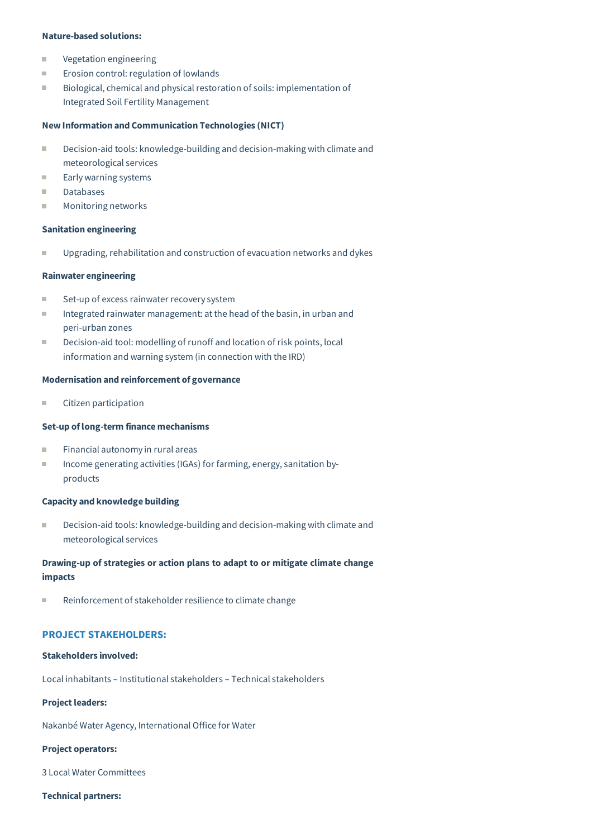### **Nature-based solutions:**

- Ē. Vegetation engineering
- $\blacksquare$ Erosion control: regulation of lowlands
- Biological, chemical and physical restoration of soils: implementation of n. Integrated Soil Fertility Management

# **New Information and Communication Technologies (NICT)**

- $\blacksquare$ Decision-aid tools: knowledge-building and decision-making with climate and meteorological services
- Early warning systems m,
- Databases m.
- $\overline{\phantom{a}}$ Monitoring networks

#### **Sanitation engineering**

Upgrading, rehabilitation and construction of evacuation networks and dykes **I** 

# **Rainwater engineering**

- Ē. Set-up of excess rainwater recovery system
- m. Integrated rainwater management: atthe head of the basin, in urban and peri-urban zones
- Decision-aid tool: modelling of runoff and location of risk points, local × information and warning system (in connection with the IRD)

#### **Modernisation and reinforcement of governance**

× Citizen participation

# **Set-up oflong-term finance mechanisms**

- n. Financial autonomy in rural areas
- Income generating activities (IGAs) for farming, energy, sanitation byi. products

#### **Capacity and knowledge building**

Decision-aid tools: knowledge-building and decision-making with climate and × meteorological services

# **Drawing-up of strategies or action plans to adapt to or mitigate climate change impacts**

m, Reinforcement of stakeholder resilience to climate change

# **PROJECT STAKEHOLDERS:**

#### **Stakeholders involved:**

Local inhabitants – Institutional stakeholders – Technical stakeholders

## **Project leaders:**

Nakanbé Water Agency, International Office for Water

#### **Project operators:**

3 Local Water Committees

# **Technical partners:**